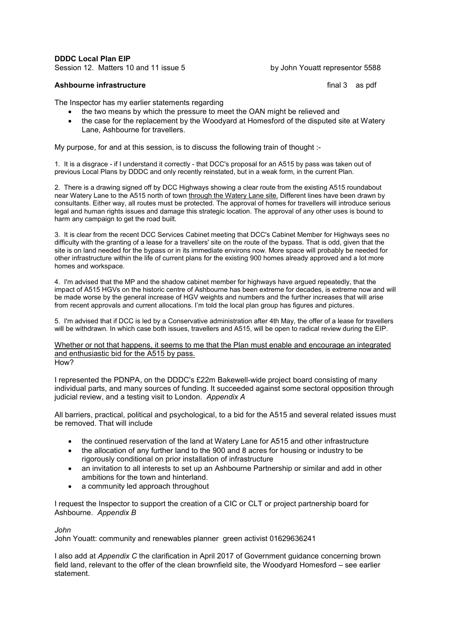DDDC Local Plan EIP

Session 12. Matters 10 and 11 issue 5 by John Youatt representor 5588

## Ashbourne infrastructure final 3 as pdf

The Inspector has my earlier statements regarding

- the two means by which the pressure to meet the OAN might be relieved and
- the case for the replacement by the Woodyard at Homesford of the disputed site at Watery Lane, Ashbourne for travellers.

My purpose, for and at this session, is to discuss the following train of thought :-

1. It is a disgrace - if I understand it correctly - that DCC's proposal for an A515 by pass was taken out of previous Local Plans by DDDC and only recently reinstated, but in a weak form, in the current Plan.

2. There is a drawing signed off by DCC Highways showing a clear route from the existing A515 roundabout near Watery Lane to the A515 north of town through the Watery Lane site. Different lines have been drawn by consultants. Either way, all routes must be protected. The approval of homes for travellers will introduce serious legal and human rights issues and damage this strategic location. The approval of any other uses is bound to harm any campaign to get the road built.

3. It is clear from the recent DCC Services Cabinet meeting that DCC's Cabinet Member for Highways sees no difficulty with the granting of a lease for a travellers' site on the route of the bypass. That is odd, given that the site is on land needed for the bypass or in its immediate environs now. More space will probably be needed for other infrastructure within the life of current plans for the existing 900 homes already approved and a lot more homes and workspace.

4. I'm advised that the MP and the shadow cabinet member for highways have argued repeatedly, that the impact of A515 HGVs on the historic centre of Ashbourne has been extreme for decades, is extreme now and will be made worse by the general increase of HGV weights and numbers and the further increases that will arise from recent approvals and current allocations. I'm told the local plan group has figures and pictures.

5. I'm advised that if DCC is led by a Conservative administration after 4th May, the offer of a lease for travellers will be withdrawn. In which case both issues, travellers and A515, will be open to radical review during the EIP.

Whether or not that happens, it seems to me that the Plan must enable and encourage an integrated and enthusiastic bid for the A515 by pass. How?

I represented the PDNPA, on the DDDC's £22m Bakewell-wide project board consisting of many individual parts, and many sources of funding. It succeeded against some sectoral opposition through judicial review, and a testing visit to London. *Appendix A*

All barriers, practical, political and psychological, to a bid for the A515 and several related issues must be removed. That will include

- the continued reservation of the land at Watery Lane for A515 and other infrastructure
- the allocation of any further land to the 900 and 8 acres for housing or industry to be rigorously conditional on prior installation of infrastructure
- an invitation to all interests to set up an Ashbourne Partnership or similar and add in other ambitions for the town and hinterland.
- a community led approach throughout

I request the Inspector to support the creation of a CIC or CLT or project partnership board for Ashbourne. *Appendix B* 

### *John*

John Youatt: community and renewables planner green activist 01629636241

I also add at *Appendix C* the clarification in April 2017 of Government guidance concerning brown field land, relevant to the offer of the clean brownfield site, the Woodyard Homesford – see earlier statement.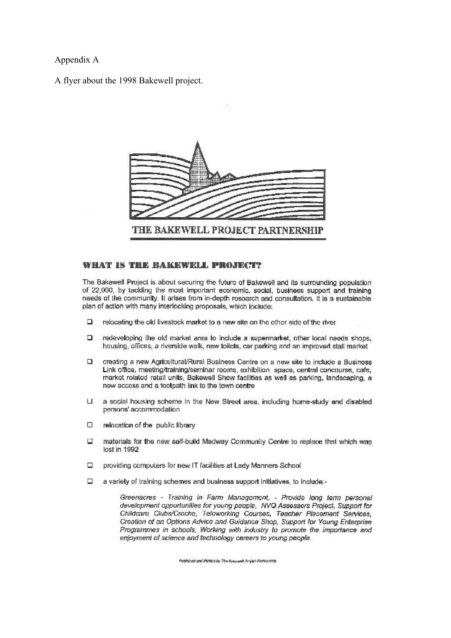Appendix A

A flyer about the 1998 Bakewell project.



# WHAT IS THE BAKEWELL PROJECT?

The Bakewell Project is about securing the future of Bakewell and its surrounding population of 22,000, by tackling the most important economic, social, business support and training needs of the community. It arises from in-depth rosoarch and consultation. It is a sustainable plan of action with many interlocking proposals, which include:

- $\Box$ relocating the old livestock market to a new site on the other side of the river
- $\Box$ redeveloping the old market area to include a supermarket, other local needs shops, housing, offices, a riverside walk, new toilets, car parking and an improved stall market
- $\Box$ creating a new Agricultural/Rural Business Centre on a new site to include a Business Link office, meeting/training/seminar rooms, exhibition space, central concourse, cafe, market related retail units, Bakewell Show facilities as well as parking, landscaping, a new access and a footpath link to the town centre
- LE. a social housing scheme in the New Street area, including home-study and disabled persons' accommodation
- α relocation of the public library
- materials for the new self-build Medway Community Centre to replace that which was u lost in 1992
- □ providing computers for new IT facilities at Lady Manners School
- a variety of training schemes and business support initiatives, to include:a

Greenacres - Training in Farm Management, - Provide long term personal development opportunities for young people, NVQ Assessors Project, Support for Childcare Clubs/Croche, Teloworking Courses, Teacher Placement Services, Creation of an Options Advice and Guidance Shop, Support for Young Enterprise Programmes in schools, Working with industry to promote the importance and enjoyment of science and technology careers to young people.

Published and Printed by The Research Project Partnership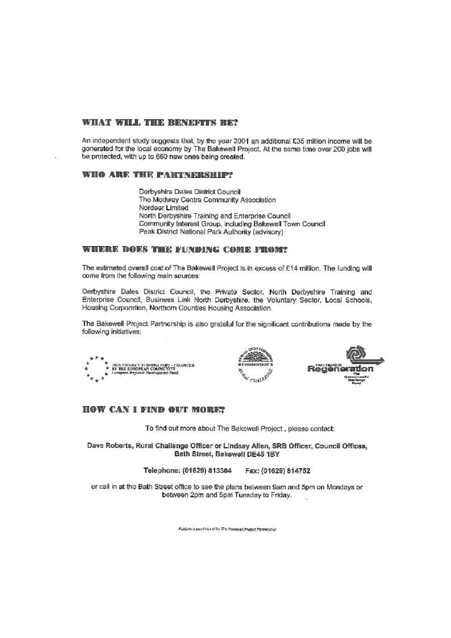## WHAT WILL THE BENEFITS RE?

An independent study suggests that, by the year 2001 an additional £35 million income will be gonerated for the local economy by The Bakewell Project. At the same time over 200 jobs will be protected, with up to 650 new ones being created.

#### WHO ARE THE PARTNERSHIP?

Derbyshire Dales District Council The Medway Centre Community Association Nordeer Limited North Derbyshire Training and Enterprise Council Community Interest Group, including Bakewell Town Council Peak District National Park Authority (advisory)

### WHERE DOES THE FUNDING CONE FROM?

The estimated overall cost of The Bakewell Project is in excess of £14 million. The funding will come from the following main sources:

Derbyshire Dales District Council, the Private Sector, North Derbyshire Training and Enterprise Council, Business Link North Derbyshire, the Voluntary Sector, Local Schools, Housing Corporation, Northern Counties Housing Association.

The Bakewell Project Partnership is also grateful for the significant contributions made by the following initiatives:



# **HOW CAN I FIND OUT MORE?**

To find out more about The Bakewell Project, please contact:

Dave Roberts, Rural Challenge Officer or Lindsay Allen, SRB Officer, Council Offices, Bath Street, Bakewell DE45 1BY

> Telephone: (01629) 813304 Fax: (01629) 814752

or call in at the Bath Street office to see the plans between 9am and 5pm on Mondays or between 2pm and 5pm Tuesday to Friday.

Published and Print of by The Polygonal Protect Partnership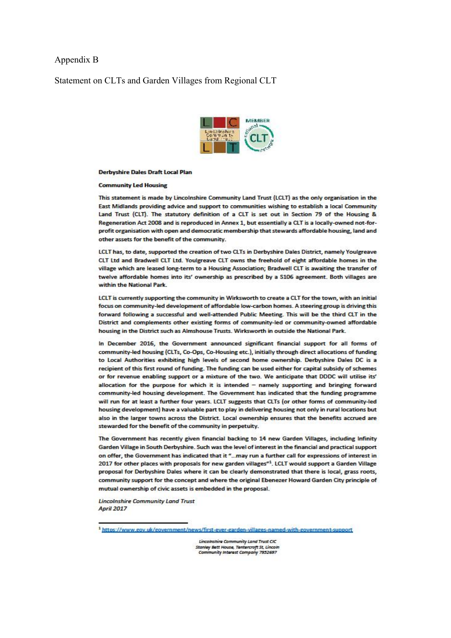# Appendix B

# Statement on CLTs and Garden Villages from Regional CLT



#### **Derbyshire Dales Draft Local Plan**

#### **Community Led Housing**

This statement is made by Lincolnshire Community Land Trust (LCLT) as the only organisation in the East Midlands providing advice and support to communities wishing to establish a local Community Land Trust (CLT). The statutory definition of a CLT is set out in Section 79 of the Housing & Regeneration Act 2008 and is reproduced in Annex 1, but essentially a CLT is a locally-owned not-forprofit organisation with open and democratic membership that stewards affordable housing, land and other assets for the benefit of the community.

LCLT has, to date, supported the creation of two CLTs in Derbyshire Dales District, namely Youlgreave CLT Ltd and Bradwell CLT Ltd. Youlgreave CLT owns the freehold of eight affordable homes in the village which are leased long-term to a Housing Association; Bradwell CLT is awaiting the transfer of twelve affordable homes into its' ownership as prescribed by a \$106 agreement. Both villages are within the National Park.

LCLT is currently supporting the community in Wirksworth to create a CLT for the town, with an initial focus on community-led development of affordable low-carbon homes. A steering group is driving this forward following a successful and well-attended Public Meeting. This will be the third CLT in the District and complements other existing forms of community-led or community-owned affordable housing in the District such as Almshouse Trusts. Wirksworth in outside the National Park.

In December 2016, the Government announced significant financial support for all forms of community-led housing (CLTs, Co-Ops, Co-Housing etc.), initially through direct allocations of funding to Local Authorities exhibiting high levels of second home ownership. Derbyshire Dales DC is a recipient of this first round of funding. The funding can be used either for capital subsidy of schemes or for revenue enabling support or a mixture of the two. We anticipate that DDDC will utilise its' allocation for the purpose for which it is intended - namely supporting and bringing forward community-led housing development. The Government has indicated that the funding programme will run for at least a further four years. LCLT suggests that CLTs (or other forms of community-led housing development) have a valuable part to play in delivering housing not only in rural locations but also in the larger towns across the District. Local ownership ensures that the benefits accrued are stewarded for the benefit of the community in perpetuity.

The Government has recently given financial backing to 14 new Garden Villages, including Infinity Garden Village in South Derbyshire. Such was the level of interest in the financial and practical support on offer, the Government has indicated that it "... may run a further call for expressions of interest in 2017 for other places with proposals for new garden villages"<sup>1</sup>. LCLT would support a Garden Village proposal for Derbyshire Dales where it can be clearly demonstrated that there is local, grass roots, community support for the concept and where the original Ebenezer Howard Garden City principle of mutual ownership of civic assets is embedded in the proposal.

**Lincolnshire Community Land Trust** April 2017

<sup>1</sup>https://www.gov.uk/government/news/first-ever-garden-villages-named-with-government-support

Lincolnshire Community Land Trust CIC **Stanley Bett House, Tentercroft St, Lincol**<br>Community Interest Company 7952697